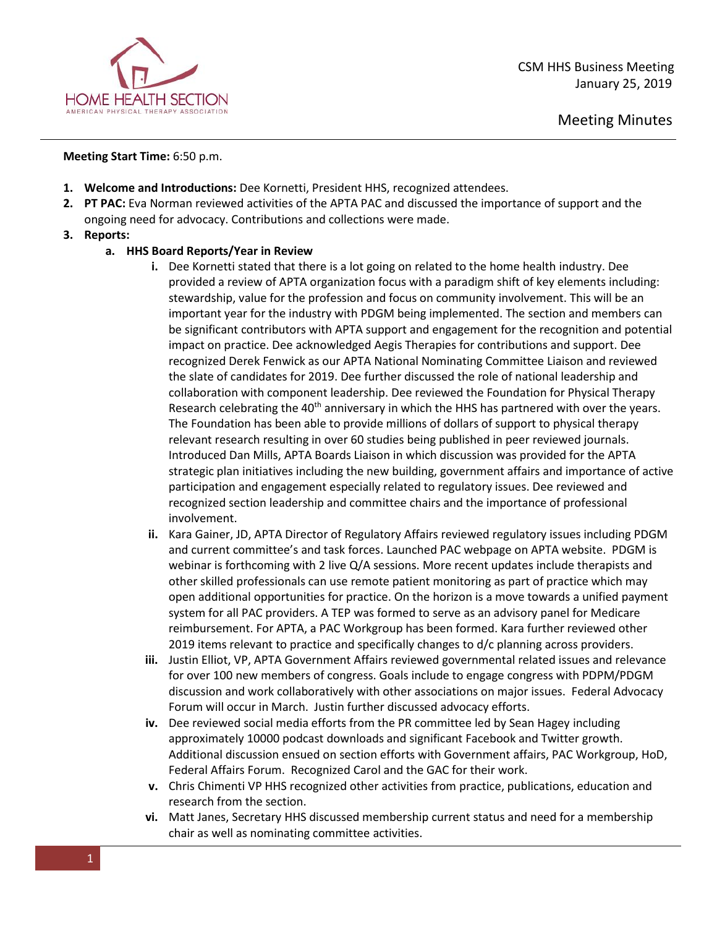

Meeting Minutes

## **Meeting Start Time:** 6:50 p.m.

- **1. Welcome and Introductions:** Dee Kornetti, President HHS, recognized attendees.
- **2. PT PAC:** Eva Norman reviewed activities of the APTA PAC and discussed the importance of support and the ongoing need for advocacy. Contributions and collections were made.
- **3. Reports:**

## **a. HHS Board Reports/Year in Review**

- **i.** Dee Kornetti stated that there is a lot going on related to the home health industry. Dee provided a review of APTA organization focus with a paradigm shift of key elements including: stewardship, value for the profession and focus on community involvement. This will be an important year for the industry with PDGM being implemented. The section and members can be significant contributors with APTA support and engagement for the recognition and potential impact on practice. Dee acknowledged Aegis Therapies for contributions and support. Dee recognized Derek Fenwick as our APTA National Nominating Committee Liaison and reviewed the slate of candidates for 2019. Dee further discussed the role of national leadership and collaboration with component leadership. Dee reviewed the Foundation for Physical Therapy Research celebrating the 40<sup>th</sup> anniversary in which the HHS has partnered with over the years. The Foundation has been able to provide millions of dollars of support to physical therapy relevant research resulting in over 60 studies being published in peer reviewed journals. Introduced Dan Mills, APTA Boards Liaison in which discussion was provided for the APTA strategic plan initiatives including the new building, government affairs and importance of active participation and engagement especially related to regulatory issues. Dee reviewed and recognized section leadership and committee chairs and the importance of professional involvement.
- **ii.** Kara Gainer, JD, APTA Director of Regulatory Affairs reviewed regulatory issues including PDGM and current committee's and task forces. Launched PAC webpage on APTA website. PDGM is webinar is forthcoming with 2 live Q/A sessions. More recent updates include therapists and other skilled professionals can use remote patient monitoring as part of practice which may open additional opportunities for practice. On the horizon is a move towards a unified payment system for all PAC providers. A TEP was formed to serve as an advisory panel for Medicare reimbursement. For APTA, a PAC Workgroup has been formed. Kara further reviewed other 2019 items relevant to practice and specifically changes to d/c planning across providers.
- **iii.** Justin Elliot, VP, APTA Government Affairs reviewed governmental related issues and relevance for over 100 new members of congress. Goals include to engage congress with PDPM/PDGM discussion and work collaboratively with other associations on major issues. Federal Advocacy Forum will occur in March. Justin further discussed advocacy efforts.
- **iv.** Dee reviewed social media efforts from the PR committee led by Sean Hagey including approximately 10000 podcast downloads and significant Facebook and Twitter growth. Additional discussion ensued on section efforts with Government affairs, PAC Workgroup, HoD, Federal Affairs Forum. Recognized Carol and the GAC for their work.
- **v.** Chris Chimenti VP HHS recognized other activities from practice, publications, education and research from the section.
- **vi.** Matt Janes, Secretary HHS discussed membership current status and need for a membership chair as well as nominating committee activities.